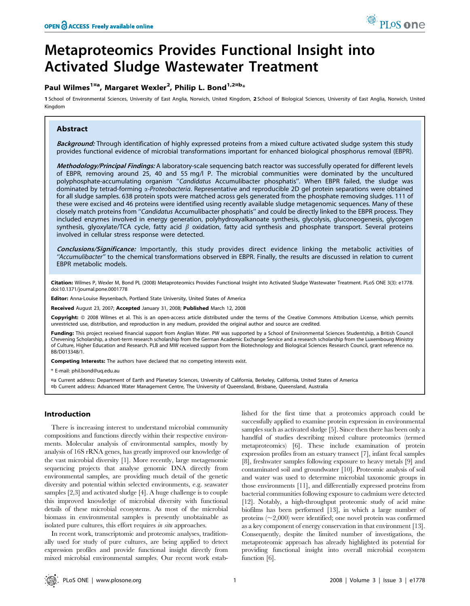# Metaproteomics Provides Functional Insight into Activated Sludge Wastewater Treatment

# Paul Wilmes<sup>1¤a</sup>, Margaret Wexler<sup>2</sup>, Philip L. Bond<sup>1,2¤b</sup>\*

1 School of Environmental Sciences, University of East Anglia, Norwich, United Kingdom, 2 School of Biological Sciences, University of East Anglia, Norwich, United Kingdom

# Abstract

Background: Through identification of highly expressed proteins from a mixed culture activated sludge system this study provides functional evidence of microbial transformations important for enhanced biological phosphorus removal (EBPR).

Methodology/Principal Findings: A laboratory-scale sequencing batch reactor was successfully operated for different levels of EBPR, removing around 25, 40 and 55 mg/l P. The microbial communities were dominated by the uncultured polyphosphate-accumulating organism "Candidatus Accumulibacter phosphatis". When EBPR failed, the sludge was dominated by tetrad-forming *a-Proteobacteria*. Representative and reproducible 2D gel protein separations were obtained for all sludge samples. 638 protein spots were matched across gels generated from the phosphate removing sludges. 111 of these were excised and 46 proteins were identified using recently available sludge metagenomic sequences. Many of these closely match proteins from ''Candidatus Accumulibacter phosphatis'' and could be directly linked to the EBPR process. They included enzymes involved in energy generation, polyhydroxyalkanoate synthesis, glycolysis, gluconeogenesis, glycogen synthesis, glyoxylate/TCA cycle, fatty acid  $\beta$  oxidation, fatty acid synthesis and phosphate transport. Several proteins involved in cellular stress response were detected.

Conclusions/Significance: Importantly, this study provides direct evidence linking the metabolic activities of "Accumulibacter" to the chemical transformations observed in EBPR. Finally, the results are discussed in relation to current EBPR metabolic models.

Citation: Wilmes P, Wexler M, Bond PL (2008) Metaproteomics Provides Functional Insight into Activated Sludge Wastewater Treatment. PLoS ONE 3(3): e1778. doi:10.1371/journal.pone.0001778

Editor: Anna-Louise Reysenbach, Portland State University, United States of America

Received August 23, 2007; Accepted January 31, 2008; Published March 12, 2008

Copyright: © 2008 Wilmes et al. This is an open-access article distributed under the terms of the Creative Commons Attribution License, which permits unrestricted use, distribution, and reproduction in any medium, provided the original author and source are credited.

Funding: This project received financial support from Anglian Water. PW was supported by a School of Environmental Sciences Studentship, a British Council Chevening Scholarship, a short-term research scholarship from the German Academic Exchange Service and a research scholarship from the Luxembourg Ministry of Culture, Higher Education and Research. PLB and MW received support from the Biotechnology and Biological Sciences Research Council, grant reference no. BB/D013348/1.

Competing Interests: The authors have declared that no competing interests exist.

\* E-mail: phil.bond@uq.edu.au

¤a Current address: Department of Earth and Planetary Sciences, University of California, Berkeley, California, United States of America ¤b Current address: Advanced Water Management Centre, The University of Queensland, Brisbane, Queensland, Australia

# Introduction

There is increasing interest to understand microbial community compositions and functions directly within their respective environments. Molecular analysis of environmental samples, mostly by analysis of 16S rRNA genes, has greatly improved our knowledge of the vast microbial diversity [1]. More recently, large metagenomic sequencing projects that analyse genomic DNA directly from environmental samples, are providing much detail of the genetic diversity and potential within selected environments, e.g. seawater samples [2,3] and activated sludge [4]. A huge challenge is to couple this improved knowledge of microbial diversity with functional details of these microbial ecosystems. As most of the microbial biomass in environmental samples is presently unobtainable as isolated pure cultures, this effort requires in situ approaches.

In recent work, transcriptomic and proteomic analyses, traditionally used for study of pure cultures, are being applied to detect expression profiles and provide functional insight directly from mixed microbial environmental samples. Our recent work established for the first time that a proteomics approach could be successfully applied to examine protein expression in environmental samples such as activated sludge [5]. Since then there has been only a handful of studies describing mixed culture proteomics (termed metaproteomics) [6]. These include examination of protein expression profiles from an estuary transect [7], infant fecal samples [8], freshwater samples following exposure to heavy metals [9] and contaminated soil and groundwater [10]. Proteomic analysis of soil and water was used to determine microbial taxonomic groups in those environments [11], and differentially expressed proteins from bacterial communities following exposure to cadmium were detected [12]. Notably, a high-throughput proteomic study of acid mine biofilms has been performed [13], in which a large number of proteins  $(\sim 2,000)$  were identified; one novel protein was confirmed as a key component of energy conservation in that environment [13]. Consequently, despite the limited number of investigations, the metaproteomic approach has already highlighted its potential for providing functional insight into overall microbial ecosystem function [6].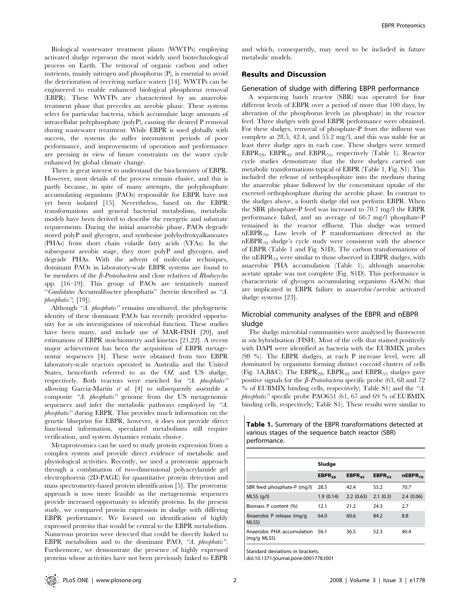Biological wastewater treatment plants (WWTPs) employing activated sludge represent the most widely used biotechnological process on Earth. The removal of organic carbon and other nutrients, mainly nitrogen and phosphorus (P), is essential to avoid the deterioration of receiving surface waters [14]. WWTPs can be engineered to enable enhanced biological phosphorus removal (EBPR). These WWTPs are characterised by an anaerobic treatment phase that precedes an aerobic phase. These systems select for particular bacteria, which accumulate large amounts of intracellular polyphosphate (polyP), causing the desired P removal during wastewater treatment. While EBPR is used globally with success, the systems do suffer intermittent periods of poor performance, and improvements of operation and performance are pressing in view of future constraints on the water cycle enhanced by global climate change.

There is great interest to understand the biochemistry of EBPR. However, most details of the process remain elusive, and this is partly because, in spite of many attempts, the polyphosphate accumulating organisms (PAOs) responsible for EBPR have not yet been isolated [15]. Nevertheless, based on the EBPR transformations and general bacterial metabolism, metabolic models have been derived to describe the energetic and substrate requirements. During the initial anaerobic phase, PAOs degrade stored polyP and glycogen, and synthesise polyhydroxyalkanoates (PHAs) from short chain volatile fatty acids (VFAs). In the subsequent aerobic stage, they store polyP and glycogen, and degrade PHAs. With the advent of molecular techniques, dominant PAOs in laboratory-scale EBPR systems are found to be members of the  $\beta$ -Proteobacteria and close relatives of Rhodocyclus spp. [16–19]. This group of PAOs are tentatively named ''Candidatus Accumulibacter phosphatis'' (herein described as ''A. phosphatis"; [19]).

Although "A. phosphatis" remains uncultured, the phylogenetic identity of these dominant PAOs has recently provided opportunity for in situ investigations of microbial function. These studies have been many, and include use of MAR-FISH [20], and estimations of EBPR stoichiometry and kinetics [21,22]. A recent major achievement has been the acquisition of EBPR metagenomic sequences [4]. These were obtained from two EBPR laboratory-scale reactors operated in Australia and the United States, henceforth referred to as the OZ and US sludge, respectively. Both reactors were enriched for "A. phosphatis" allowing García-Martín et al.  $[4]$  to subsequently assemble a composite "A. phosphatis" genome from the US metagenomic sequences and infer the metabolic pathways employed by ''A. phosphatis'' during EBPR. This provides much information on the genetic blueprint for EBPR, however, it does not provide direct functional information, speculated metabolisms still require verification, and system dynamics remain elusive.

Metaproteomics can be used to study protein expression from a complex system and provide direct evidence of metabolic and physiological activities. Recently, we used a proteomic approach through a combination of two-dimensional polyacrylamide gel electrophoresis (2D-PAGE) for quantitative protein detection and mass spectrometry-based protein identification [5]. The proteomic approach is now more feasible as the metagenomic sequences provide increased opportunity to identify proteins. In the present study, we compared protein expression in sludge with differing EBPR performance. We focused on identification of highly expressed proteins that would be central to the EBPR metabolism. Numerous proteins were detected that could be directly linked to EBPR metabolism and to the dominant PAO, "A. phosphatis". Furthermore, we demonstrate the presence of highly expressed proteins whose activities have not been previously linked to EBPR

and which, consequently, may need to be included in future metabolic models.

# Results and Discussion

#### Generation of sludge with differing EBPR performance

A sequencing batch reactor (SBR) was operated for four different levels of EBPR over a period of more that 100 days, by alteration of the phosphorus levels (as phosphate) in the reactor feed. Three sludges with good EBPR performance were obtained. For these sludges, removal of phosphate-P from the influent was complete at 28.5, 42.4, and 55.2 mg/l, and this was stable for at least three sludge ages in each case. These sludges were termed  $EBPR_{28}$ ,  $EBPR_{42}$  and  $EBPR_{55}$ , respectively (Table 1). Reactor cycle studies demonstrate that the three sludges carried out metabolic transformations typical of EBPR (Table 1, Fig. S1). This included the release of orthophosphate into the medium during the anaerobic phase followed by the concomitant uptake of the excreted orthophosphate during the aerobic phase. In contrast to the sludges above, a fourth sludge did not perform EBPR. When the SBR phosphate-P feed was increased to 70.7 mg/l the EBPR performance failed, and an average of 66.7 mg/l phosphate-P remained in the reactor effluent. This sludge was termed  $nEBPR_{70}$ . Low levels of P transformations detected in the  $nEBPR_{70}$  sludge's cycle study were consistent with the absence of EBPR (Table 1 and Fig. S1D). The carbon transformations of the nEBPR $_{70}$  were similar to those observed in EBPR sludges, with anaerobic PHA accumulation (Table 1), although anaerobic acetate uptake was not complete (Fig. S1D). This performance is characteristic of glycogen accumulating organisms (GAOs) that are implicated in EBPR failure in anaerobic/aerobic activated sludge systems [23].

# Microbial community analyses of the EBPR and nEBPR sludge

The sludge microbial communities were analysed by fluorescent in situ hybridisation (FISH). Most of the cells that stained positively with DAPI were identified as bacteria with the EUBMIX probes (98 %). The EBPR sludges, at each P increase level, were all dominated by organisms forming distinct coccoid clusters of cells (Fig. 1A,B&C). The  $EBPR_{28}$ ,  $EBPR_{42}$  and  $EBPR_{55}$  sludges gave positive signals for the  $\beta$ -Proteobacteria specific probe (63, 68 and 72) % of EUBMIX binding cells, respectively; Table S1) and the ''A. phosphatis'' specific probe PAO651 (61, 67 and 69 % of EUBMIX binding cells, respectively; Table S1). These results were similar to

| Table 1. Summary of the EBPR transformations detected at |  |
|----------------------------------------------------------|--|
| various stages of the sequence batch reactor (SBR)       |  |
| performance.                                             |  |

|                                           | Sludge      |                    |             |              |  |  |
|-------------------------------------------|-------------|--------------------|-------------|--------------|--|--|
|                                           | $EBPR_{2R}$ | EBPR <sub>42</sub> | $EBPR_{55}$ | $nEBPR_{70}$ |  |  |
| SBR feed phosphate-P (mg/l)               | 28.5        | 42.4               | 55.2        | 70.7         |  |  |
| $MLSS$ (g/l)                              | 1.9(0.14)   | 2.2(0.63)          | 2.1(0.3)    | 2.4(0.06)    |  |  |
| Biomass P content (%)                     | 12.1        | 21.2               | 24.3        | 2.7          |  |  |
| Anaerobic P release (mg/g<br>MLSS)        | 64.0        | 60.6               | 84.2        | 8.8          |  |  |
| Anaerobic PHA accumulation<br>(mg/g MLSS) | 56.1        | 36.5               | 52.3        | 40.4         |  |  |

Standard deviations in brackets.

doi:10.1371/journal.pone.0001778.t001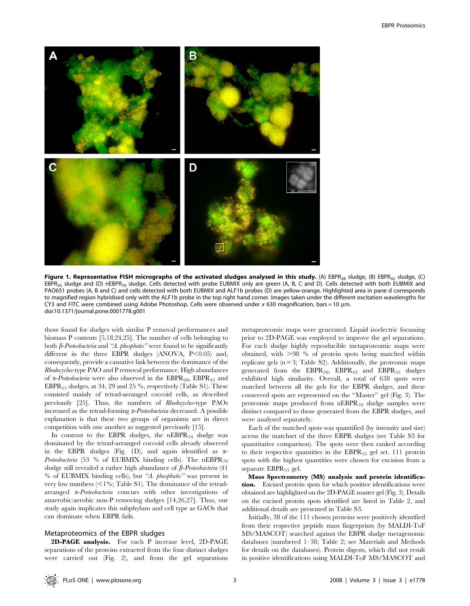

Figure 1. Representative FISH micrographs of the activated sludges analysed in this study. (A) EBPR<sub>28</sub> sludge, (B) EBPR<sub>42</sub> sludge, (C) EBPR<sub>55</sub> sludge and (D) nEBPR<sub>70</sub> sludge. Cells detected with probe EUBMIX only are green (A, B, C and D). Cells detected with both EUBMIX and PAO651 probes (A, B and C) and cells detected with both EUBMIX and ALF1b probes (D) are yellow-orange. Highlighted area in pane d corresponds to magnified region hybridised only with the ALF1b probe in the top right hand corner. Images taken under the different excitation wavelengths for CY3 and FITC were combined using Adobe Photoshop. Cells were observed under  $x$  630 magnification, bars = 10 µm. doi:10.1371/journal.pone.0001778.g001

those found for sludges with similar P removal performances and biomass P contents [5,18,24,25]. The number of cells belonging to both  $\beta$ -Proteobacteria and "A. phosphatis" were found to be significantly different in the three EBPR sludges (ANOVA,  $P \le 0.05$ ) and, consequently, provide a causative link between the dominance of the Rhodocyclus-type PAO and P removal performance. High abundances of  $\alpha$ -Proteobacteria were also observed in the EBPR<sub>28</sub>, EBPR<sub>42</sub> and EBPR55 sludges, at 34, 29 and 25 %, respectively (Table S1). These consisted mainly of tetrad-arranged coccoid cells, as described previously [25]. Thus, the numbers of Rhodocyclus-type PAOs increased as the tetrad-forming  $\alpha$ -Proteobacteria decreased. A possible explanation is that these two groups of organisms are in direct competition with one another as suggested previously [15].

In contrast to the EBPR sludges, the  $nEBPR_{70}$  sludge was dominated by the tetrad-arranged coccoid cells already observed in the EBPR sludges (Fig. 1D), and again identified as  $\alpha$ -*Proteobacteria* (53 % of EUBMIX binding cells). The  $nEBPR_{70}$ sludge still revealed a rather high abundance of  $\beta$ -Proteobacteria (41 % of EUBMIX binding cells), but ''A. phosphatis'' was present in very low numbers  $\leq$ 1%; Table S1). The dominance of the tetradarranged  $\alpha$ -Proteobacteria concurs with other investigations of anaerobic:aerobic non-P removing sludges [14,26,27]. Thus, our study again implicates this subphylum and cell type as GAOs that can dominate when EBPR fails.

#### Metaproteomics of the EBPR sludges

2D-PAGE analysis. For each P increase level, 2D-PAGE separations of the proteins extracted from the four distinct sludges were carried out (Fig. 2), and from the gel separations metaproteomic maps were generated. Liquid isoelectric focussing prior to 2D-PAGE was employed to improve the gel separations. For each sludge highly reproducible metaproteomic maps were obtained, with  $>98$  % of protein spots being matched within replicate gels  $(n = 3;$  Table S2). Additionally, the proteomic maps generated from the  $EBPR_{28}$ ,  $EBPR_{42}$  and  $EBPR_{55}$  sludges exhibited high similarity. Overall, a total of 638 spots were matched between all the gels for the EBPR sludges, and these conserved spots are represented on the ''Master'' gel (Fig. 3). The proteomic maps produced from  $nEBPR_{70}$  sludge samples were distinct compared to those generated from the EBPR sludges, and were analysed separately.

Each of the matched spots was quantified (by intensity and size) across the matchset of the three EBPR sludges (see Table S3 for quantitative comparison). The spots were then ranked according to their respective quantities in the  $EBPR_{55}$  gel set. 111 protein spots with the highest quantities were chosen for excision from a separate  $EBPR_{55}$  gel.

Mass Spectrometry (MS) analysis and protein identification. Excised protein spots for which positive identifications were obtained are highlighted on the 2D-PAGE master gel (Fig. 3). Details on the excised protein spots identified are listed in Table 2, and additional details are presented in Table S3.

Initially, 38 of the 111 chosen proteins were positively identified from their respective peptide mass fingerprints (by MALDI-ToF MS/MASCOT) searched against the EBPR sludge metagenomic databases (numbered 1–38; Table 2; see Materials and Methods for details on the databases). Protein digests, which did not result in positive identifications using MALDI-ToF MS/MASCOT and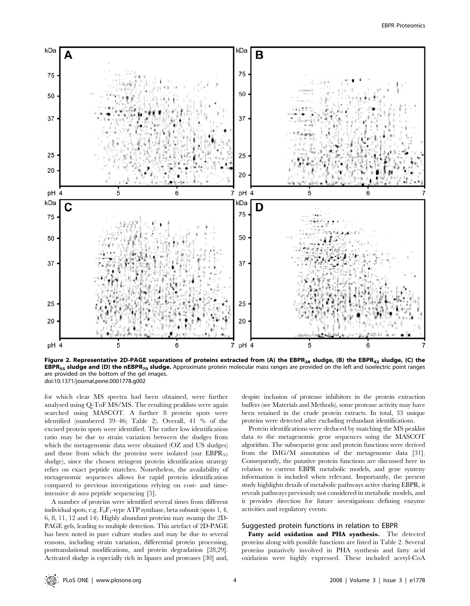

Figure 2. Representative 2D-PAGE separations of proteins extracted from (A) the EBPR<sub>28</sub> sludge, (B) the EBPR<sub>42</sub> sludge, (C) the EBPR<sub>55</sub> sludge and (D) the nEBPR<sub>70</sub> sludge. Approximate protein molecular mass ranges are provided on the left and isoelectric point ranges are provided on the bottom of the gel images. doi:10.1371/journal.pone.0001778.g002

for which clear MS spectra had been obtained, were further analysed using Q-ToF MS/MS. The resulting peaklists were again searched using MASCOT. A further 8 protein spots were identified (numbered 39–46; Table 2). Overall, 41 % of the excised protein spots were identified. The rather low identification ratio may be due to strain variation between the sludges from which the metagenomic data were obtained (OZ and US sludges) and those from which the proteins were isolated (our  $EBPR_{55}$ sludge), since the chosen stringent protein identification strategy relies on exact peptide matches. Nonetheless, the availability of metagenomic sequences allows for rapid protein identification compared to previous investigations relying on cost- and timeintensive de novo peptide sequencing [5].

A number of proteins were identified several times from different individual spots, e.g.  $F_0F_1$ -type ATP synthase, beta subunit (spots 1, 4, 6, 8, 11, 12 and 14). Highly abundant proteins may swamp the 2D-PAGE gels, leading to multiple detection. This artefact of 2D-PAGE has been noted in pure culture studies and may be due to several reasons, including strain variation, differential protein processing, posttranslational modifications, and protein degradation [28,29]. Activated sludge is especially rich in lipases and proteases [30] and,

despite inclusion of protease inhibitors in the protein extraction buffers (see Materials and Methods), some protease activity may have been retained in the crude protein extracts. In total, 33 unique proteins were detected after excluding redundant identifications.

Protein identifications were deduced by matching the MS peaklist data to the metagenomic gene sequences using the MASCOT algorithm. The subsequent gene and protein functions were derived from the IMG/M annotation of the metagenome data [31]. Consequently, the putative protein functions are discussed here in relation to current EBPR metabolic models, and gene synteny information is included when relevant. Importantly, the present study highlights details of metabolic pathways active during EBPR, it reveals pathways previously not considered in metabolic models, and it provides direction for future investigations defining enzyme activities and regulatory events.

## Suggested protein functions in relation to EBPR

Fatty acid oxidation and PHA synthesis. The detected proteins along with possible functions are listed in Table 2. Several proteins putatively involved in PHA synthesis and fatty acid oxidation were highly expressed. These included acetyl-CoA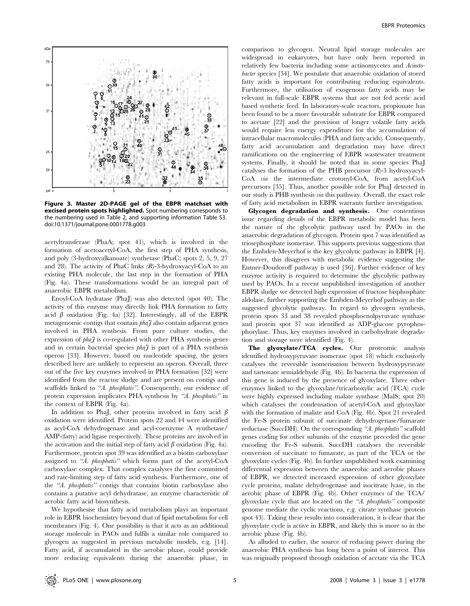

Figure 3. Master 2D-PAGE gel of the EBPR matchset with excised protein spots highlighted. Spot numbering corresponds to the numbering used in Table 2, and supporting information Table S3. doi:10.1371/journal.pone.0001778.g003

acetyltransferase (PhaA; spot 41), which is involved in the formation of acetoacetyl-CoA, the first step of PHA synthesis, and poly (3-hydroxyalkanoate) synthetase (PhaC; spots 2, 5, 9, 27 and 28). The activity of PhaC links  $(R)$ -3-hydroxyacyl-CoA to an existing PHA molecule, the last step in the formation of PHA (Fig. 4a). These transformations would be an integral part of anaerobic EBPR metabolism.

Enoyl-CoA hydratase (PhaJ) was also detected (spot 40). The activity of this enzyme may directly link PHA formation to fatty acid  $\beta$  oxidation (Fig. 4a) [32]. Interestingly, all of the EBPR metagenomic contigs that contain  $pha\tilde{\tau}$  also contain adjacent genes involved in PHA synthesis. From pure culture studies, the expression of  $pha\tilde{\jmath}$  is co-regulated with other PHA synthesis genes and in certain bacterial species  $pha\tilde{\tau}$  is part of a PHA synthesis operon [33]. However, based on nucleotide spacing, the genes described here are unlikely to represent an operon. Overall, three out of the five key enzymes involved in PHA formation [32] were identified from the reactor sludge and are present on contigs and scaffolds linked to "A. phosphatis". Consequently, our evidence of protein expression implicates PHA synthesis by "A. phosphatis" in the context of EBPR (Fig. 4a).

In addition to PhaJ, other proteins involved in fatty acid  $\beta$ oxidation were identified. Protein spots 22 and 44 were identified as acyl-CoA dehydrogenase and acyl-coenzyme A synthetase/ AMP-(fatty) acid ligase respectively. These proteins are involved in the activation and the initial step of fatty acid  $\beta$  oxidation (Fig. 4a). Furthermore, protein spot 39 was identified as a biotin carboxylase assigned to "A. phosphatis" which forms part of the acetyl-CoA carboxylase complex. That complex catalyses the first committed and rate-limiting step of fatty acid synthesis. Furthermore, one of the ''A. phosphatis'' contigs that contains biotin carboxylase also contains a putative acyl dehydratase, an enzyme characteristic of aerobic fatty acid biosynthesis.

We hypothesise that fatty acid metabolism plays an important role in EBPR biochemistry beyond that of lipid metabolism for cell membranes (Fig. 4). One possibility is that it acts as an additional storage molecule in PAOs and fulfils a similar role compared to glycogen as suggested in previous metabolic models, e.g. [14]. Fatty acid, if accumulated in the aerobic phase, could provide more reducing equivalents during the anaerobic phase, in

comparison to glycogen. Neutral lipid storage molecules are widespread in eukaryotes, but have only been reported in relatively few bacteria including some actinomycetes and Acinetobacter species [34]. We postulate that anaerobic oxidation of stored fatty acids is important for contributing reducing equivalents. Furthermore, the utilisation of exogenous fatty acids may be relevant in full-scale EBPR systems that are not fed acetic acid based synthetic feed. In laboratory-scale reactors, propionate has been found to be a more favourable substrate for EBPR compared to acetate [22] and the provision of longer volatile fatty acids would require less energy expenditure for the accumulation of intracellular macromolecules (PHA and fatty acids). Consequently, fatty acid accumulation and degradation may have direct ramifications on the engineering of EBPR wastewater treatment systems. Finally, it should be noted that in some species PhaJ catalyses the formation of the PHB precursor  $(R)$ -3 hydroxyacyl-CoA via the intermediate crotonyl-CoA, from acetyl-CoA precursors [35]. Thus, another possible role for PhaJ detected in our study is PHB synthesis via this pathway. Overall, the exact role of fatty acid metabolism in EBPR warrants further investigation.

Glycogen degradation and synthesis. One contentious issue regarding details of the EBPR metabolic model has been the nature of the glycolytic pathway used by PAOs in the anaerobic degradation of glycogen. Protein spot 7 was identified as triosephosphate isomerase. This supports previous suggestions that the Embden-Meyerhof is the key glycolytic pathway in EBPR [4]. However, this disagrees with metabolic evidence suggesting the Entner-Doudoroff pathway is used [36]. Further evidence of key enzyme activity is required to determine the glycolytic pathway used by PAOs. In a recent unpublished investigation of another EBPR sludge we detected high expression of fructose bisphosphate aldolase, further supporting the Embden-Meyerhof pathway as the suggested glycolytic pathway. In regard to glycogen synthesis, protein spots 33 and 38 revealed phosphoenolpyruvate synthase and protein spot 37 was identified as ADP-glucose pyrophosphorylase. Thus, key enzymes involved in carbohydrate degradation and storage were identified (Fig. 4).

The glyoxylate/TCA cycles. Our proteomic analysis identified hydroxypyruvate isomerase (spot 18) which exclusively catalyses the reversible isomerisation between hydroxypyruvate and tartonate semialdehyde (Fig. 4b). In bacteria the expression of this gene is induced by the presence of glyoxylate. Three other enzymes linked to the glyoxylate/tricarboxylic acid (TCA) cycle were highly expressed including malate synthase (MalS; spot 20) which catalyses the condensation of acetyl-CoA and glyoxylate with the formation of malate and CoA (Fig. 4b). Spot 21 revealed the Fe-S protein subunit of succinate dehydrogenase/fumarate reductase (SuccDH). On the corresponding ''A. phosphatis'' scaffold genes coding for other subunits of the enzyme preceded the gene encoding the Fe-S subunit. SuccDH catalyses the reversible conversion of succinate to fumarate, as part of the TCA or the glyoxylate cycles (Fig. 4b). In further unpublished work examining differential expression between the anaerobic and aerobic phases of EBPR, we detected increased expression of other glyoxylate cycle proteins, malate dehydrogenase and isocitrate lyase, in the aerobic phase of EBPR (Fig. 4b). Other enzymes of the TCA/ glyoxylate cycle that are located on the "A. phosphatis" composite genome mediate the cyclic reactions, e.g. citrate synthase (protein spot 43). Taking these results into consideration, it is clear that the glyoxylate cycle is active in EBPR, and likely this is more so in the aerobic phase (Fig. 4b).

As alluded to earlier, the source of reducing power during the anaerobic PHA synthesis has long been a point of interest. This was originally proposed through oxidation of acetate via the TCA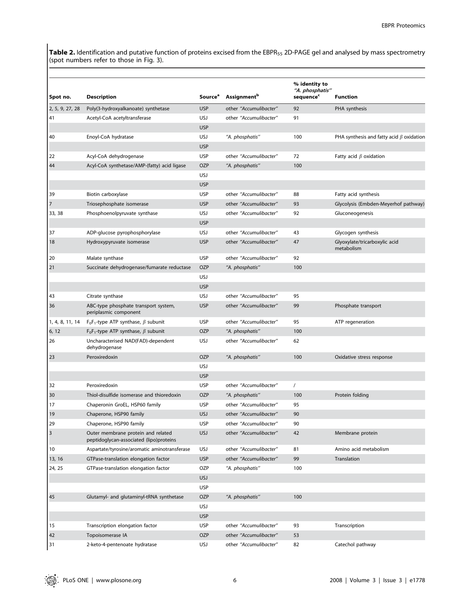**Table 2.** Identification and putative function of proteins excised from the EBPR<sub>55</sub> 2D-PAGE gel and analysed by mass spectrometry (spot numbers refer to those in Fig. 3).

| Spot no.                | <b>Description</b>                                                            | <b>Source</b> <sup>a</sup> | <b>Assignment</b> <sup>b</sup> | % identity to<br>"A. phosphatis"<br>sequence <sup>c</sup> | <b>Function</b>                                |
|-------------------------|-------------------------------------------------------------------------------|----------------------------|--------------------------------|-----------------------------------------------------------|------------------------------------------------|
| 2, 5, 9, 27, 28         | Poly(3-hydroxyalkanoate) synthetase                                           | <b>USP</b>                 | other "Accumulibacter"         | 92                                                        | PHA synthesis                                  |
| 41                      | Acetyl-CoA acetyltransferase                                                  | <b>USJ</b>                 | other "Accumulibacter"         | 91                                                        |                                                |
|                         |                                                                               | <b>USP</b>                 |                                |                                                           |                                                |
| 40                      | Enoyl-CoA hydratase                                                           | <b>USJ</b>                 | "A. phosphatis"                | 100                                                       | PHA synthesis and fatty acid $\beta$ oxidation |
|                         |                                                                               | <b>USP</b>                 |                                |                                                           |                                                |
| 22                      | Acyl-CoA dehydrogenase                                                        | <b>USP</b>                 | other "Accumulibacter"         | 72                                                        | Fatty acid $\beta$ oxidation                   |
| 44                      | Acyl-CoA synthetase/AMP-(fatty) acid ligase                                   | <b>OZP</b>                 | "A. phosphatis"                | 100                                                       |                                                |
|                         |                                                                               | <b>USJ</b>                 |                                |                                                           |                                                |
|                         |                                                                               | <b>USP</b>                 |                                |                                                           |                                                |
| 39                      | Biotin carboxylase                                                            | <b>USP</b>                 | other "Accumulibacter"         | 88                                                        | Fatty acid synthesis                           |
| $\overline{7}$          | Triosephosphate isomerase                                                     | <b>USP</b>                 | other "Accumulibacter"         | 93                                                        | Glycolysis (Embden-Meyerhof pathway)           |
| 33, 38                  | Phosphoenolpyruvate synthase                                                  | <b>USJ</b>                 | other "Accumulibacter"         | 92                                                        | Gluconeogenesis                                |
|                         |                                                                               | <b>USP</b>                 |                                |                                                           |                                                |
| 37                      | ADP-glucose pyrophosphorylase                                                 | <b>USJ</b>                 | other "Accumulibacter"         | 43                                                        | Glycogen synthesis                             |
| 18                      | Hydroxypyruvate isomerase                                                     | <b>USP</b>                 | other "Accumulibacter"         | 47                                                        | Glyoxylate/tricarboxylic acid<br>metabolism    |
| 20                      | Malate synthase                                                               | <b>USP</b>                 | other "Accumulibacter"         | 92                                                        |                                                |
| 21                      | Succinate dehydrogenase/fumarate reductase                                    | <b>OZP</b>                 | "A. phosphatis"                | 100                                                       |                                                |
|                         |                                                                               | <b>USJ</b>                 |                                |                                                           |                                                |
|                         |                                                                               | <b>USP</b>                 |                                |                                                           |                                                |
| 43                      | Citrate synthase                                                              | USJ                        | other "Accumulibacter"         | 95                                                        |                                                |
| 36                      | ABC-type phosphate transport system,<br>periplasmic component                 | <b>USP</b>                 | other "Accumulibacter"         | 99                                                        | Phosphate transport                            |
| 1, 4, 8, 11, 14         | $F_0F_1$ -type ATP synthase, $\beta$ subunit                                  | <b>USP</b>                 | other "Accumulibacter"         | 95                                                        | ATP regeneration                               |
| 6, 12                   | $F_0F_1$ -type ATP synthase, $\beta$ subunit                                  | <b>OZP</b>                 | "A. phosphatis"                | 100                                                       |                                                |
| 26                      | Uncharacterised NAD(FAD)-dependent<br>dehydrogenase                           | <b>USJ</b>                 | other "Accumulibacter"         | 62                                                        |                                                |
| 23                      | Peroxiredoxin                                                                 | <b>OZP</b>                 | "A. phosphatis"                | 100                                                       | Oxidative stress response                      |
|                         |                                                                               | <b>USJ</b>                 |                                |                                                           |                                                |
|                         |                                                                               | <b>USP</b>                 |                                |                                                           |                                                |
| 32                      | Peroxiredoxin                                                                 | <b>USP</b>                 | other "Accumulibacter"         | $\prime$                                                  |                                                |
| 30                      | Thiol-disulfide isomerase and thioredoxin                                     | <b>OZP</b>                 | "A. phosphatis"                | 100                                                       | Protein folding                                |
| 17                      | Chaperonin GroEL, HSP60 family                                                | <b>USP</b>                 | other "Accumulibacter"         | 95                                                        |                                                |
| 19                      | Chaperone, HSP90 family                                                       | <b>USJ</b>                 | other "Accumulibacter"         | 90                                                        |                                                |
| 29                      | Chaperone, HSP90 family                                                       | <b>USP</b>                 | other "Accumulibacter"         | 90                                                        |                                                |
| $\overline{\mathbf{3}}$ | Outer membrane protein and related<br>peptidoglycan-associated (lipo)proteins | <b>USJ</b>                 | other "Accumulibacter"         | 42                                                        | Membrane protein                               |
| 10                      | Aspartate/tyrosine/aromatic aminotransferase                                  | USJ                        | other "Accumulibacter"         | 81                                                        | Amino acid metabolism                          |
| 13, 16                  | GTPase-translation elongation factor                                          | <b>USP</b>                 | other "Accumulibacter"         | 99                                                        | Translation                                    |
| 24, 25                  | GTPase-translation elongation factor                                          | OZP                        | "A. phosphatis"                | 100                                                       |                                                |
|                         |                                                                               | <b>USJ</b>                 |                                |                                                           |                                                |
|                         |                                                                               | <b>USP</b>                 |                                |                                                           |                                                |
| 45                      | Glutamyl- and glutaminyl-tRNA synthetase                                      | OZP                        | "A. phosphatis"                | 100                                                       |                                                |
|                         |                                                                               | <b>USJ</b>                 |                                |                                                           |                                                |
|                         |                                                                               | <b>USP</b>                 |                                |                                                           |                                                |
| 15                      | Transcription elongation factor                                               | <b>USP</b>                 | other "Accumulibacter"         | 93                                                        | Transcription                                  |
| 42                      | Topoisomerase IA                                                              | OZP                        | other "Accumulibacter"         | 53                                                        |                                                |
| 31                      | 2-keto-4-pentenoate hydratase                                                 | USJ                        | other "Accumulibacter"         | 82                                                        | Catechol pathway                               |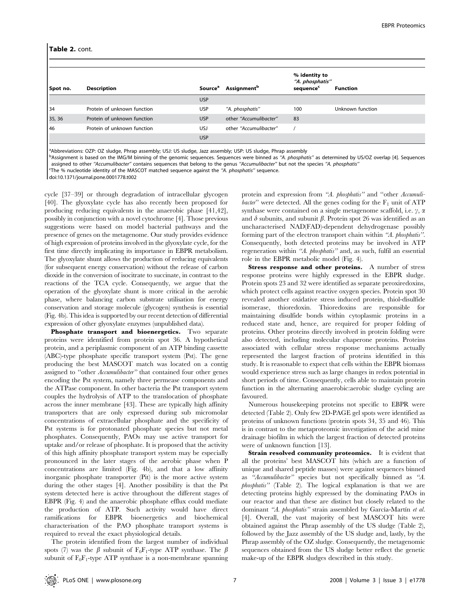#### Table 2. cont.

| Spot no. | <b>Description</b>          | <b>Source</b> <sup>a</sup> | <b>Assignment</b> <sup>b</sup> | % identity to<br>"A. phosphatis"<br>sequence <sup>c</sup> | <b>Function</b>  |
|----------|-----------------------------|----------------------------|--------------------------------|-----------------------------------------------------------|------------------|
|          |                             | <b>USP</b>                 |                                |                                                           |                  |
| 34       | Protein of unknown function | <b>USP</b>                 | "A. phosphatis"                | 100                                                       | Unknown function |
| 35, 36   | Protein of unknown function | <b>USP</b>                 | other "Accumulibacter"         | 83                                                        |                  |
| 46       | Protein of unknown function | <b>USJ</b>                 | other "Accumulibacter"         |                                                           |                  |
|          |                             | <b>USP</b>                 |                                |                                                           |                  |

aAbbreviations: OZP: OZ sludge, Phrap assembly; USJ: US sludge, Jazz assembly; USP: US sludge, Phrap assembly

bAssignment is based on the IMG/M binning of the genomic sequences. Sequences were binned as "A. phosphatis" as determined by US/OZ overlap [4]. Sequences assigned to other "Accumulibacter" contains sequences that belong to the genus "Accumulibacter" but not the species "A. phosphatis"

<sup>C</sup>The % nucleotide identity of the MASCOT matched sequence against the "A. *phosphatis*" sequence.

doi:10.1371/journal.pone.0001778.t002

cycle [37–39] or through degradation of intracellular glycogen [40]. The glyoxylate cycle has also recently been proposed for producing reducing equivalents in the anaerobic phase [41,42], possibly in conjunction with a novel cytochrome [4]. Those previous suggestions were based on model bacterial pathways and the presence of genes on the metagenome. Our study provides evidence of high expression of proteins involved in the glyoxylate cycle, for the first time directly implicating its importance in EBPR metabolism. The glyoxylate shunt allows the production of reducing equivalents (for subsequent energy conservation) without the release of carbon dioxide in the conversion of isocitrate to succinate, in contrast to the reactions of the TCA cycle. Consequently, we argue that the operation of the glyoxylate shunt is more critical in the aerobic phase, where balancing carbon substrate utilisation for energy conservation and storage molecule (glycogen) synthesis is essential (Fig. 4b). This idea is supported by our recent detection of differential expression of other glyoxylate enzymes (unpublished data).

Phosphate transport and bioenergetics. Two separate proteins were identified from protein spot 36. A hypothetical protein, and a periplasmic component of an ATP binding cassette (ABC)-type phosphate specific transport system (Pst). The gene producing the best MASCOT match was located on a contig assigned to "other *Accumulibacter*" that contained four other genes encoding the Pst system, namely three permease components and the ATPase component. In other bacteria the Pst transport system couples the hydrolysis of ATP to the translocation of phosphate across the inner membrane [43]. These are typically high affinity transporters that are only expressed during sub micromolar concentrations of extracellular phosphate and the specificity of Pst systems is for protonated phosphate species but not metal phosphates. Consequently, PAOs may use active transport for uptake and/or release of phosphate. It is proposed that the activity of this high affinity phosphate transport system may be especially pronounced in the later stages of the aerobic phase when P concentrations are limited (Fig. 4b), and that a low affinity inorganic phosphate transporter (Pit) is the more active system during the other stages [4]. Another possibility is that the Pst system detected here is active throughout the different stages of EBPR (Fig. 4) and the anaerobic phosphate efflux could mediate the production of ATP. Such activity would have direct ramifications for EBPR bioenergetics and biochemical characterisation of the PAO phosphate transport systems is required to reveal the exact physiological details.

The protein identified from the largest number of individual spots (7) was the  $\beta$  subunit of F<sub>0</sub>F<sub>1</sub>-type ATP synthase. The  $\beta$ subunit of  $F_0F_1$ -type ATP synthase is a non-membrane spanning protein and expression from "A. phosphatis" and "other Accumulibacter" were detected. All the genes coding for the  $F_1$  unit of ATP synthase were contained on a single metagenome scaffold, i.e.  $\gamma$ ,  $\alpha$ and  $\delta$  subunits, and subunit  $\beta$ . Protein spot 26 was identified as an uncharacterised NAD(FAD)-dependent dehydrogenase possibly forming part of the electron transport chain within "A. phosphatis". Consequently, both detected proteins may be involved in ATP regeneration within "A. phosphatis" and, as such, fulfil an essential role in the EBPR metabolic model (Fig. 4).

Stress response and other proteins. A number of stress response proteins were highly expressed in the EBPR sludge. Protein spots 23 and 32 were identified as separate peroxiredoxins, which protect cells against reactive oxygen species. Protein spot 30 revealed another oxidative stress induced protein, thiol-disulfide isomerase, thioredoxin. Thioredoxins are responsible for maintaining disulfide bonds within cytoplasmic proteins in a reduced state and, hence, are required for proper folding of proteins. Other proteins directly involved in protein folding were also detected, including molecular chaperone proteins. Proteins associated with cellular stress response mechanisms actually represented the largest fraction of proteins identified in this study. It is reasonable to expect that cells within the EBPR biomass would experience stress such as large changes in redox potential in short periods of time. Consequently, cells able to maintain protein function in the alternating anaerobic:aerobic sludge cycling are favoured.

Numerous housekeeping proteins not specific to EBPR were detected (Table 2). Only few 2D-PAGE gel spots were identified as proteins of unknown functions (protein spots 34, 35 and 46). This is in contrast to the metaproteomic investigation of the acid mine drainage biofilm in which the largest fraction of detected proteins were of unknown function [13].

Strain resolved community proteomics. It is evident that all the proteins' best MASCOT hits (which are a function of unique and shared peptide masses) were against sequences binned as ''Accumulibacter'' species but not specifically binned as ''A. phosphatis'' (Table 2). The logical explanation is that we are detecting proteins highly expressed by the dominating PAOs in our reactor and that these are distinct but closely related to the dominant "A. phosphatis" strain assembled by García-Martín et al. [4]. Overall, the vast majority of best MASCOT hits were obtained against the Phrap assembly of the US sludge (Table 2), followed by the Jazz assembly of the US sludge and, lastly, by the Phrap assembly of the OZ sludge. Consequently, the metagenomic sequences obtained from the US sludge better reflect the genetic make-up of the EBPR sludges described in this study.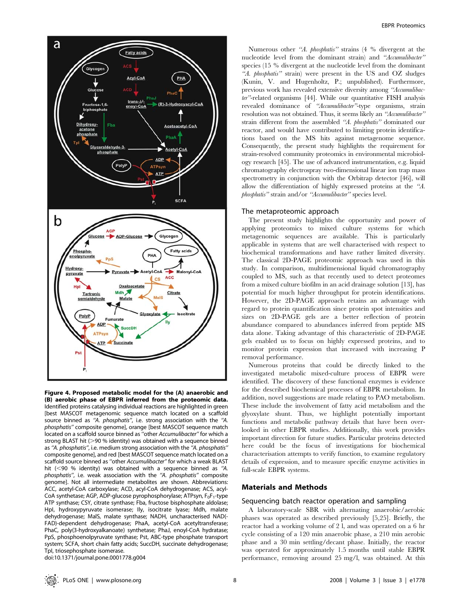

Figure 4. Proposed metabolic model for the (A) anaerobic and (B) aerobic phase of EBPR inferred from the proteomic data. Identified proteins catalysing individual reactions are highlighted in green [best MASCOT metagenomic sequence match located on a scaffold source binned as "A. phosphatis", i.e. strong association with the "A. phosphatis'' composite genome], orange [best MASCOT sequence match located on a scaffold source binned as ''other Accumulibacter'' for which a strong BLAST hit ( $>90$ % identity) was obtained with a sequence binned as "A. phosphatis", i.e. medium strong association with the "A. phosphatis" composite genome], and red [best MASCOT sequence match located on a scaffold source binned as ''other Accumulibacter'' for which a weak BLAST hit  $(<$ 90 % identity) was obtained with a sequence binned as "A. phosphatis", i.e. weak association with the "A. phosphatis" composite genome]. Not all intermediate metabolites are shown. Abbreviations: ACC, acetyl-CoA carboxylase; ACD, acyl-CoA dehydrogenase; ACS, acyl-CoA synthetase; AGP, ADP-glucose pyrophosphorylase; ATPsyn,  $F_0F_1$ -type ATP synthase; CSY, citrate synthase; Fba, fructose bisphosphate aldolase; HpI, hydroxypyruvate isomerase; Ily, isocitrate lyase; Mdh, malate dehydrogenase; MalS, malate synthase; NADH, uncharacterised NAD(- FAD)-dependent dehydrogenase; PhaA, acetyl-CoA acetyltransferase; PhaC, poly(3-hydroxyalkanoate) synthetase; PhaJ, enoyl-CoA hydratase; PpS, phosphoenolpyruvate synthase; Pst, ABC-type phosphate transport system; SCFA, short chain fatty acids; SuccDH, succinate dehydrogenase; TpI, triosephosphate isomerase.

doi:10.1371/journal.pone.0001778.g004

Numerous other "A. *phosphatis*" strains (4 % divergent at the nucleotide level from the dominant strain) and ''Accumulibacter'' species (15 % divergent at the nucleotide level from the dominant "A. phosphatis" strain) were present in the US and OZ sludges (Kunin, V. and Hugenholtz, P.; unpublished). Furthermore, previous work has revealed extensive diversity among ''Accumulibacter''-related organisms [44]. While our quantitative FISH analysis revealed dominance of ''Accumulibacter''-type organisms, strain resolution was not obtained. Thus, it seems likely an ''Accumulibacter'' strain different from the assembled "A. phosphatis" dominated our reactor, and would have contributed to limiting protein identifications based on the MS hits against metagenome sequence. Consequently, the present study highlights the requirement for strain-resolved community proteomics in environmental microbiology research [45]. The use of advanced instrumentation, e.g. liquid chromatography electrospray two-dimensional linear ion trap mass spectrometry in conjunction with the Orbitrap detector [46], will allow the differentiation of highly expressed proteins at the ''A. phosphatis'' strain and/or ''Accumulibacter'' species level.

### The metaproteomic approach

The present study highlights the opportunity and power of applying proteomics to mixed culture systems for which metagenomic sequences are available. This is particularly applicable in systems that are well characterised with respect to biochemical transformations and have rather limited diversity. The classical 2D-PAGE proteomic approach was used in this study. In comparison, multidimensional liquid chromatography coupled to MS, such as that recently used to detect proteomes from a mixed culture biofilm in an acid drainage solution [13], has potential for much higher throughput for protein identifications. However, the 2D-PAGE approach retains an advantage with regard to protein quantification since protein spot intensities and sizes on 2D-PAGE gels are a better reflection of protein abundance compared to abundances inferred from peptide MS data alone. Taking advantage of this characteristic of 2D-PAGE gels enabled us to focus on highly expressed proteins, and to monitor protein expression that increased with increasing P removal performance.

Numerous proteins that could be directly linked to the investigated metabolic mixed-culture process of EBPR were identified. The discovery of these functional enzymes is evidence for the described biochemical processes of EBPR metabolism. In addition, novel suggestions are made relating to PAO metabolism. These include the involvement of fatty acid metabolism and the glyoxylate shunt. Thus, we highlight potentially important functions and metabolic pathway details that have been overlooked in other EBPR studies. Additionally, this work provides important direction for future studies. Particular proteins detected here could be the focus of investigations for biochemical characterisation attempts to verify function, to examine regulatory details of expression, and to measure specific enzyme activities in full-scale EBPR systems.

## Materials and Methods

## Sequencing batch reactor operation and sampling

A laboratory-scale SBR with alternating anaerobic/aerobic phases was operated as described previously [5,25]. Briefly, the reactor had a working volume of 2 l, and was operated on a 6 hr cycle consisting of a 120 min anaerobic phase, a 210 min aerobic phase and a 30 min settling/decant phase. Initially, the reactor was operated for approximately 1.5 months until stable EBPR performance, removing around 25 mg/l, was obtained. At this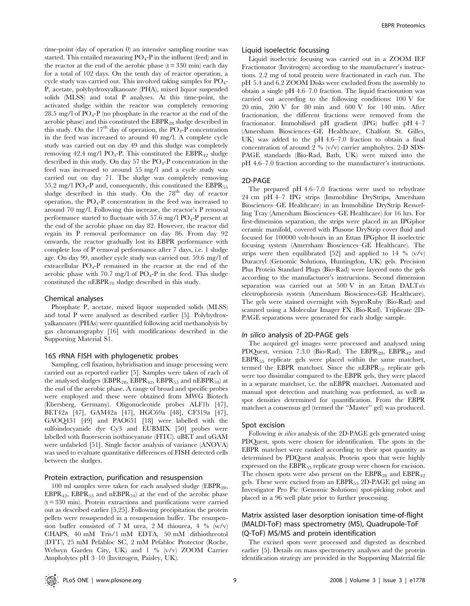time-point (day of operation 0) an intensive sampling routine was started. This entailed measuring  $PO_4$ -P in the influent (feed) and in the reactor at the end of the aerobic phase  $(t = 330 \text{ min})$  each day for a total of 102 days. On the tenth day of reactor operation, a cycle study was carried out. This involved taking samples for  $PO_4$ -P, acetate, polyhydroxyalkanoate (PHA), mixed liquor suspended solids (MLSS) and total P analyses. At this time-point, the activated sludge within the reactor was completely removing 28.5 mg/l of  $PO_4$ -P (no phosphate in the reactor at the end of the aerobic phase) and this constituted the  $EBPR_{28}$  sludge described in this study. On the  $17<sup>th</sup>$  day of operation, the  $PO<sub>4</sub>-P$  concentration in the feed was increased to around 40 mg/l. A complete cycle study was carried out on day 49 and this sludge was completely removing 42.4 mg/l PO<sub>4</sub>-P. This constituted the EBPR<sub>42</sub> sludge described in this study. On day  $57$  the  $PO<sub>4</sub>-P$  concentration in the feed was increased to around 55 mg/l and a cycle study was carried out on day 71. The sludge was completely removing 55.2 mg/l  $PO_4$ -P and, consequently, this constituted the EBPR<sub>55</sub> sludge described in this study. On the  $78<sup>th</sup>$  day of reactor operation, the PO4-P concentration in the feed was increased to around 70 mg/l. Following this increase, the reactor's P removal performance started to fluctuate with  $57.6 \text{ mg/l}$  PO<sub>4</sub>-P present at the end of the aerobic phase on day 82. However, the reactor did regain its P removal performance on day 86. From day 92 onwards, the reactor gradually lost its EBPR performance with complete loss of P removal performance after 7 days, i.e. 1 sludge age. On day 99, another cycle study was carried out. 59.6 mg/l of extracellular  $PO_4$ -P remained in the reactor at the end of the aerobic phase with 70.7 mg/l of  $PO_4$ -P in the feed. This sludge constituted the  $nEBPR_{70}$  sludge described in this study.

## Chemical analyses

Phosphate P, acetate, mixed liquor suspended solids (MLSS) and total P were analysed as described earlier [5]. Polyhydroxyalkanoates (PHAs) were quantified following acid methanolysis by gas chromatography [16] with modifications described in the Supporting Material S1.

#### 16S rRNA FISH with phylogenetic probes

Sampling, cell fixation, hybridisation and image processing were carried out as reported earlier [5]. Samples were taken of each of the analysed sludges (EBPR<sub>28</sub>, EBPR<sub>42</sub>, EBPR<sub>55</sub> and nEBPR<sub>70</sub>) at the end of the aerobic phase. A range of broad and specific probes were employed and these were obtained from MWG Biotech (Ebersberg, Germany). Oligonucleotide probes ALF1b [47], BET42a [47], GAM42a [47], HGC69a [48], CF319a [47], GAOQ431 [49] and PAO651 [18] were labelled with the sulfoindocyanide dye Cy3 and EUBMIX [50] probes were labelled with fluorescein isothiocyanate (FITC). uBET and uGAM were unlabeled [51]. Single factor analysis of variance (ANOVA) was used to evaluate quantitative differences of FISH detected cells between the sludges.

#### Protein extraction, purification and resuspension

100 ml samples were taken for each analysed sludge (EBPR<sub>28</sub>,  $EBPR_{42}$ ,  $EBPR_{55}$  and  $nEBPR_{70}$  at the end of the aerobic phase  $(t = 330 \text{ min})$ . Protein extractions and purifications were carried out as described earlier [5,25]. Following precipitation the protein pellets were resuspended in a resuspension buffer. The resuspension buffer consisted of 7 M urea, 2 M thiourea, 4 %  $(w/v)$ CHAPS, 40 mM Tris/1 mM EDTA, 50 mM dithiothreotol (DTT), 25 mM Pefabloc SC, 2 mM Pefabloc Protector (Roche, Welwyn Garden City, UK) and 1 % (v/v) ZOOM Carrier Ampholytes pH 3–10 (Invitrogen, Paisley, UK).

#### Liquid isoelectric focussing

Liquid isoelectric focusing was carried out in a ZOOM IEF Fractionator (Invitrogen) according to the manufacturer's instructions. 2.2 mg of total protein were fractionated in each run. The pH 5.4 and 6.2 ZOOM Disks were excluded from the assembly to obtain a single pH  $4.6-7.0$  fraction. The liquid fractionation was carried out according to the following conditions: 100 V for 20 min, 200 V for 80 min and 600 V for 140 min. After fractionation, the different fractions were removed from the fractionator. Immobilised pH gradient (IPG) buffer pH 4–7 (Amersham Biosciences–GE Healthcare, Chalfont St. Gilles, UK) was added to the pH 4.6–7.0 fraction to obtain a final concentration of around 2 % (v/v) carrier ampholytes. 2-D SDS-PAGE standards (Bio-Rad, Bath, UK) were mixed into the pH 4.6–7.0 fraction according to the manufacturer's instructions.

#### 2D-PAGE

The prepared pH 4.6–7.0 fractions were used to rehydrate 24 cm pH 4–7 IPG strips (Immobiline DryStrips, Amersham Biosciences–GE Healthcare) in an Immobiline DryStrip Reswelling Tray (Amersham Biosciences–GE Healthcare) for 16 hrs. For first-dimension separation, the strips were placed in an IPGphor ceramic manifold, covered with Plusone DryStrip cover fluid and focused for 100000 volt-hours in an Ettan IPGphor II isoelectric focusing system (Amersham Biosciences–GE Healthcare). The strips were then equilibrated [52] and applied to 14  $\%$  (v/v) Duracryl (Genomic Solutions, Huntingdon, UK) gels. Precision Plus Protein Standard Plugs (Bio-Rad) were layered onto the gels according to the manufacturer's instructions. Second dimension separation was carried out at 500 V in an Ettan DALTsix electrophoresis system (Amersham Biosciences-GE Healthcare). The gels were stained overnight with SyproRuby (Bio-Rad) and scanned using a Molecular Imager FX (Bio-Rad). Triplicate 2D-PAGE separations were generated for each sludge sample.

#### In silico analysis of 2D-PAGE gels

The acquired gel images were processed and analysed using PDQuest, version 7.3.0 (Bio-Rad). The  $EBPR_{28}$ ,  $EBPR_{42}$  and  $EBPR_{55}$  replicate gels were placed within the same matchset, termed the EBPR matchset. Since the  $nEBPR_{70}$  replicate gels were too dissimilar compared to the EBPR gels, they were placed in a separate matchset, i.e. the nEBPR matchset. Automated and manual spot detection and matching was performed, as well as spot densities determined for quantification. From the EBPR matchset a consensus gel (termed the ''Master'' gel) was produced.

#### Spot excision

Following in silico analysis of the 2D-PAGE gels generated using PDQuest, spots were chosen for identification. The spots in the EBPR matchset were ranked according to their spot quantity as determined by PDQuest analysis. Protein spots that were highly expressed on the  $EBPR_{55}$  replicate group were chosen for excision. The chosen spots were also present on the  $EBPR_{28}$  and  $EBPR_{42}$ gels. These were excised from an  $EBPR_{55}$  2D-PAGE gel using an Investigator Pro Pic (Genomic Solutions) spot-picking robot and placed in a 96 well plate prior to further processing.

# Matrix assisted laser desorption ionisation time-of-flight (MALDI-ToF) mass spectrometry (MS), Quadrupole-ToF (Q-ToF) MS/MS and protein identification

The excised spots were processed and digested as described earlier [5]. Details on mass spectrometry analyses and the protein identification strategy are provided in the Supporting Material file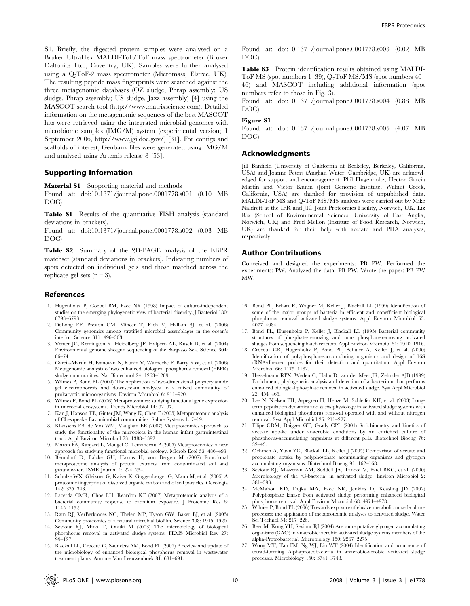S1. Briefly, the digested protein samples were analysed on a Bruker UltraFlex MALDI-ToF/ToF mass spectrometer (Bruker Daltonics Ltd., Coventry, UK). Samples were further analysed using a Q-ToF-2 mass spectrometer (Micromass, Elstree, UK). The resulting peptide mass fingerprints were searched against the three metagenomic databases (OZ sludge, Phrap assembly; US sludge, Phrap assembly; US sludge, Jazz assembly) [4] using the MASCOT search tool (http://www.matrixscience.com). Detailed information on the metagenomic sequences of the best MASCOT hits were retrieved using the integrated microbial genomes with microbiome samples (IMG/M) system (experimental version; 1 September 2006, http://www.jgi.doe.gov/) [31]. For contigs and scaffolds of interest, Genbank files were generated using IMG/M and analysed using Artemis release 8 [53].

## Supporting Information

**Material S1** Supporting material and methods

Found at: doi:10.1371/journal.pone.0001778.s001 (0.10 MB DOC)

Table S1 Results of the quantitative FISH analysis (standard deviations in brackets).

Found at: doi:10.1371/journal.pone.0001778.s002 (0.03 MB DOC)

Table S2 Summary of the 2D-PAGE analysis of the EBPR matchset (standard deviations in brackets). Indicating numbers of spots detected on individual gels and those matched across the replicate gel sets  $(n = 3)$ .

#### References

- 1. Hugenholtz P, Goebel BM, Pace NR (1998) Impact of culture-independent studies on the emerging phylogenetic view of bacterial diversity. J Bacteriol 180: 6793–6793.
- 2. DeLong EF, Preston CM, Mincer T, Rich V, Hallam SJ, et al. (2006) Community genomics among stratified microbial assemblages in the ocean's interior. Science 311: 496–503.
- 3. Venter JC, Remington K, Heidelberg JF, Halpern AL, Rusch D, et al. (2004) Environmental genome shotgun sequencing of the Sargasso Sea. Science 304: 66–74.
- 4. García-Martín H, Ivanovan N, Kunin V, Warnecke F, Barry KW, et al. (2006) Metagenomic analysis of two enhanced biological phosphorus removal (EBPR) sludge communities. Nat Biotechnol 24: 1263–1269.
- 5. Wilmes P, Bond PL (2004) The application of two-dimensional polyacrylamide gel electrophoresis and downstream analyses to a mixed community of prokaryotic microorganisms. Environ Microbiol 6: 911–920.
- 6. Wilmes P, Bond PL (2006) Metaproteomics: studying functional gene expression in microbial ecosystems. Trends Microbiol 14: 92–97.
- 7. Kan J, Hanson TE, Ginter JM, Wang K, Chen F (2005) Metaproteomic analysis of Chesapeake Bay microbial communities. Saline Systems 1: 7–19.
- 8. Klaassens ES, de Vos WM, Vaughan EE (2007) Metaproteomics approach to study the functionality of the microbiota in the human infant gastrointestinal tract. Appl Environ Microbiol 73: 1388–1392.
- 9. Maron PA, Ranjard L, Mougel C, Lemanceau P (2007) Metaproteomics: a new approach for studying functional microbial ecology. Microb Ecol 53: 486–493.
- 10. Benndorf D, Balcke GU, Harms H, von Bergen M (2007) Functional metaproteome analysis of protein extracts from contaminated soil and groundwater. ISME Journal 1: 224–234.
- 11. Schulze WX, Gleixner G, Kaiser K, Guggenberger G, Mann M, et al. (2005) A proteomic fingerprint of dissolved organic carbon and of soil particles. Oecologia 142: 335–343.
- 12. Lacerda CMR, Choe LH, Reardon KF (2007) Metaproteomic analysis of a bacterial community response to cadmium exposure. J Proteome Res 6: 1145–1152.
- 13. Ram RJ, VerBerkmoes NC, Thelen MP, Tyson GW, Baker BJ, et al. (2005) Community proteomics of a natural microbial biofilm. Science 308: 1915–1920.
- 14. Seviour RJ, Mino T, Onuki M (2003) The microbiology of biological phosphorus removal in activated sludge systems. FEMS Microbiol Rev 27:  $99 - 127$ .
- 15. Blackall LL, Crocetti G, Saunders AM, Bond PL (2002) A review and update of the microbiology of enhanced biological phosphorus removal in wastewater treatment plants. Antonie Van Leeuwenhoek 81: 681–691.

Found at: doi:10.1371/journal.pone.0001778.s003 (0.02 MB DOC)

Table S3 Protein identification results obtained using MALDI-ToF MS (spot numbers 1–39), Q-ToF MS/MS (spot numbers 40– 46) and MASCOT including additional information (spot numbers refer to those in Fig. 3).

Found at: doi:10.1371/journal.pone.0001778.s004 (0.88 MB DOC)

# Figure S1

Found at: doi:10.1371/journal.pone.0001778.s005 (4.07 MB DOC)

# Acknowledgments

Jill Banfield (University of California at Berkeley, Berkeley, California, USA) and Joanne Peters (Anglian Water, Cambridge, UK) are acknowledged for support and encouragement. Phil Hugenholtz, Hector García Martín and Victor Kunin (Joint Genome Institute, Walnut Creek, California, USA) are thanked for provision of unpublished data. MALDI-ToF MS and Q-ToF MS/MS analyses were carried out by Mike Naldrett at the IFR and JIC Joint Proteomics Facility, Norwich, UK. Liz Rix (School of Environmental Sciences, University of East Anglia, Norwich, UK) and Fred Mellon (Institute of Food Research, Norwich, UK) are thanked for their help with acetate and PHA analyses, respectively.

#### Author Contributions

Conceived and designed the experiments: PB PW. Performed the experiments: PW. Analyzed the data: PB PW. Wrote the paper: PB PW MW.

- 16. Bond PL, Erhart R, Wagner M, Keller J, Blackall LL (1999) Identification of some of the major groups of bacteria in efficient and nonefficient biological phosphorus removal activated sludge systems. Appl Environ Microbiol 65:  $4077 - 4084$
- 17. Bond PL, Hugenholtz P, Keller J, Blackall LL (1995) Bacterial community structures of phosphate-removing and non- phosphate-removing activated sludges from sequencing batch reactors. Appl Environ Microbiol 61: 1910–1916.
- 18. Crocetti GR, Hugenholtz P, Bond PL, Schuler A, Keller J, et al. (2000) Identification of polyphosphate-accumulating organisms and design of 16S rRNA-directed probes for their detection and quantitation. Appl Environ Microbiol 66: 1175–1182.
- 19. Hesselmann RPX, Werlen C, Hahn D, van der Meer JR, Zehnder AJB (1999) Enrichment, phylogenetic analysis and detection of a bacterium that performs enhanced biological phosphate removal in activated sludge. Syst Appl Microbiol 22: 454–465.
- 20. Lee N, Nielsen PH, Aspegren H, Henze M, Schleifer KH, et al. (2003) Longterm population dynamics and in situ physiology in activated sludge systems with enhanced biological phosphorus removal operated with and without nitrogen removal. Syst Appl Microbiol 26: 211–227.
- 21. Filipe CDM, Daigger GT, Grady CPL (2001) Stoichiometry and kinetics of acetate uptake under anaerobic conditions by an enriched culture of phosphorus-accumulating organisms at different pHs. Biotechnol Bioeng 76: 32–43.
- 22. Oehmen A, Yuan ZG, Blackall LL, Keller J (2005) Comparison of acetate and propionate uptake by polyphosphate accumulating organisms and glycogen accumulating organisms. Biotechnol Bioeng 91: 162–168.
- 23. Seviour RJ, Maszenan AM, Soddell JA, Tandoi V, Patel BKC, et al. (2000) Microbiology of the 'G-bacteria' in activated sludge. Environ Microbiol 2: 581–593.
- 24. McMahon KD, Dojka MA, Pace NR, Jenkins D, Keasling JD (2002) Polyphosphate kinase from activated sludge performing enhanced biological phosphorus removal. Appl Environ Microbiol 68: 4971–4978.
- 25. Wilmes P, Bond PL (2006) Towards exposure of elusive metabolic mixed-culture processes: the application of metaproteomic analyses to activated sludge. Water Sci Technol 54: 217–226.
- 26. Beer M, Kong YH, Seviour RJ (2004) Are some putative glycogen accumulating organisms (GAO) in anaerobic: aerobic activated sludge systems members of the alpha-Proteobacteria? Microbiology 150: 2267–2275.
- 27. Wong MT, Tan FM, Ng WJ, Liu WT (2004) Identification and occurrence of tetrad-forming Alphaproteobacteria in anaerobic-aerobic activated sludge processes. Microbiology 150: 3741–3748.